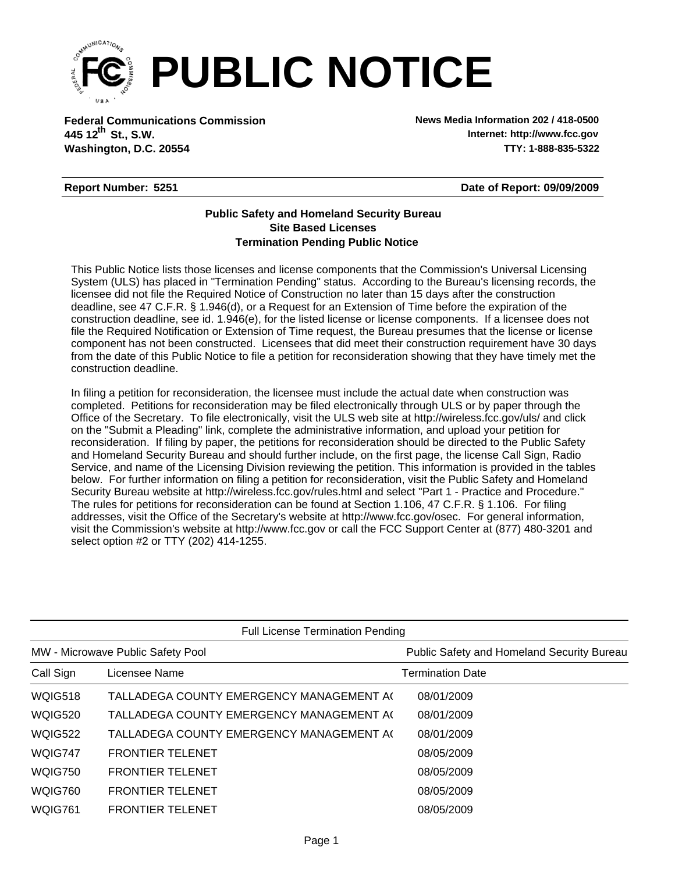

**Federal Communications Commission News Media Information 202 / 418-0500 Washington, D.C. 20554 TTY: 1-888-835-5322 445 12<sup>th</sup> St., S.W.** 

**Internet: http://www.fcc.gov**

## **Report Number: 5251**

**Date of Report: 09/09/2009**

## **Termination Pending Public Notice Site Based Licenses Public Safety and Homeland Security Bureau**

This Public Notice lists those licenses and license components that the Commission's Universal Licensing System (ULS) has placed in "Termination Pending" status. According to the Bureau's licensing records, the licensee did not file the Required Notice of Construction no later than 15 days after the construction deadline, see 47 C.F.R. § 1.946(d), or a Request for an Extension of Time before the expiration of the construction deadline, see id. 1.946(e), for the listed license or license components. If a licensee does not file the Required Notification or Extension of Time request, the Bureau presumes that the license or license component has not been constructed. Licensees that did meet their construction requirement have 30 days from the date of this Public Notice to file a petition for reconsideration showing that they have timely met the construction deadline.

In filing a petition for reconsideration, the licensee must include the actual date when construction was completed. Petitions for reconsideration may be filed electronically through ULS or by paper through the Office of the Secretary. To file electronically, visit the ULS web site at http://wireless.fcc.gov/uls/ and click on the "Submit a Pleading" link, complete the administrative information, and upload your petition for reconsideration. If filing by paper, the petitions for reconsideration should be directed to the Public Safety and Homeland Security Bureau and should further include, on the first page, the license Call Sign, Radio Service, and name of the Licensing Division reviewing the petition. This information is provided in the tables below. For further information on filing a petition for reconsideration, visit the Public Safety and Homeland Security Bureau website at http://wireless.fcc.gov/rules.html and select "Part 1 - Practice and Procedure." The rules for petitions for reconsideration can be found at Section 1.106, 47 C.F.R. § 1.106. For filing addresses, visit the Office of the Secretary's website at http://www.fcc.gov/osec. For general information, visit the Commission's website at http://www.fcc.gov or call the FCC Support Center at (877) 480-3201 and select option #2 or TTY (202) 414-1255.

| <b>Full License Termination Pending</b> |                                          |                                            |  |  |  |  |
|-----------------------------------------|------------------------------------------|--------------------------------------------|--|--|--|--|
|                                         | MW - Microwave Public Safety Pool        | Public Safety and Homeland Security Bureau |  |  |  |  |
| Call Sign                               | Licensee Name                            | <b>Termination Date</b>                    |  |  |  |  |
| <b>WQIG518</b>                          | TALLADEGA COUNTY EMERGENCY MANAGEMENT AG | 08/01/2009                                 |  |  |  |  |
| <b>WQIG520</b>                          | TALLADEGA COUNTY EMERGENCY MANAGEMENT A( | 08/01/2009                                 |  |  |  |  |
| <b>WQIG522</b>                          | TALLADEGA COUNTY EMERGENCY MANAGEMENT AG | 08/01/2009                                 |  |  |  |  |
| WQIG747                                 | <b>FRONTIER TELENET</b>                  | 08/05/2009                                 |  |  |  |  |
| <b>WQIG750</b>                          | <b>FRONTIER TELENET</b>                  | 08/05/2009                                 |  |  |  |  |
| <b>WQIG760</b>                          | <b>FRONTIER TELENET</b>                  | 08/05/2009                                 |  |  |  |  |
| <b>WQIG761</b>                          | <b>FRONTIER TELENET</b>                  | 08/05/2009                                 |  |  |  |  |